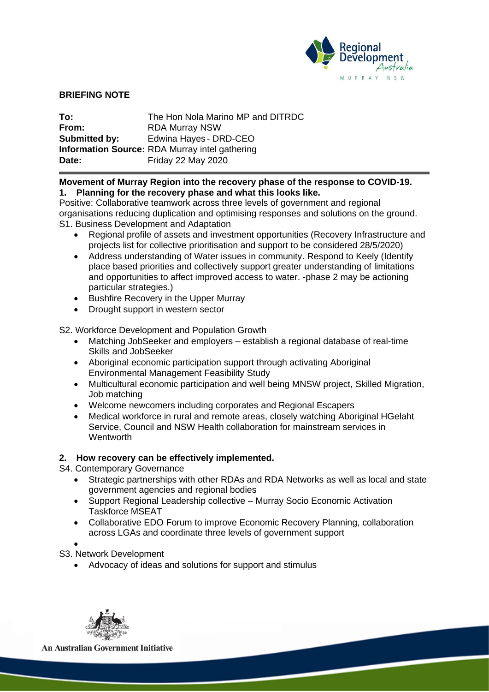

#### **BRIEFING NOTE**

| To:           | The Hon Nola Marino MP and DITRDC                     |
|---------------|-------------------------------------------------------|
| From:         | <b>RDA Murray NSW</b>                                 |
| Submitted by: | Edwina Hayes - DRD-CEO                                |
|               | <b>Information Source: RDA Murray intel gathering</b> |
| Date:         | <b>Friday 22 May 2020</b>                             |

#### **Movement of Murray Region into the recovery phase of the response to COVID-19. 1. Planning for the recovery phase and what this looks like.**

Positive: Collaborative teamwork across three levels of government and regional organisations reducing duplication and optimising responses and solutions on the ground. S1. Business Development and Adaptation

- Regional profile of assets and investment opportunities (Recovery Infrastructure and projects list for collective prioritisation and support to be considered 28/5/2020)
- Address understanding of Water issues in community. Respond to Keely (Identify place based priorities and collectively support greater understanding of limitations and opportunities to affect improved access to water. -phase 2 may be actioning particular strategies.)
- Bushfire Recovery in the Upper Murray
- Drought support in western sector

S2. Workforce Development and Population Growth

- Matching JobSeeker and employers establish a regional database of real-time Skills and JobSeeker
- Aboriginal economic participation support through activating Aboriginal Environmental Management Feasibility Study
- Multicultural economic participation and well being MNSW project, Skilled Migration, Job matching
- Welcome newcomers including corporates and Regional Escapers
- Medical workforce in rural and remote areas, closely watching Aboriginal HGelaht Service, Council and NSW Health collaboration for mainstream services in **Wentworth**

# **2. How recovery can be effectively implemented.**

S4. Contemporary Governance

- Strategic partnerships with other RDAs and RDA Networks as well as local and state government agencies and regional bodies
- Support Regional Leadership collective Murray Socio Economic Activation Taskforce MSEAT
- Collaborative EDO Forum to improve Economic Recovery Planning, collaboration across LGAs and coordinate three levels of government support
- •

S3. Network Development

• Advocacy of ideas and solutions for support and stimulus



**An Australian Government Initiative**